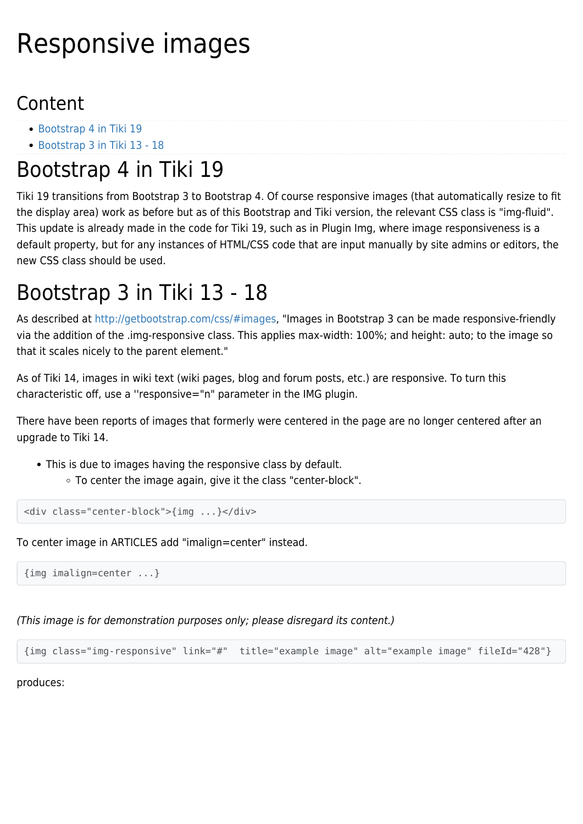## Responsive images

## Content

- [Bootstrap 4 in Tiki 19](#page--1-0)
- [Bootstrap 3 in Tiki 13 18](#page--1-0)

## Bootstrap 4 in Tiki 19

Tiki 19 transitions from Bootstrap 3 to Bootstrap 4. Of course responsive images (that automatically resize to fit the display area) work as before but as of this Bootstrap and Tiki version, the relevant CSS class is "img-fluid". This update is already made in the code for Tiki 19, such as in Plugin Img, where image responsiveness is a default property, but for any instances of HTML/CSS code that are input manually by site admins or editors, the new CSS class should be used.

## Bootstrap 3 in Tiki 13 - 18

As described at <http://getbootstrap.com/css/#images>, "Images in Bootstrap 3 can be made responsive-friendly via the addition of the .img-responsive class. This applies max-width: 100%; and height: auto; to the image so that it scales nicely to the parent element."

As of Tiki 14, images in wiki text (wiki pages, blog and forum posts, etc.) are responsive. To turn this characteristic off, use a ''responsive="n" parameter in the IMG plugin.

There have been reports of images that formerly were centered in the page are no longer centered after an upgrade to Tiki 14.

- This is due to images having the responsive class by default.
	- To center the image again, give it the class "center-block".

```
<div class="center-block">{img ...}</div>
```
To center image in ARTICLES add "imalign=center" instead.

{img imalign=center ...}

(This image is for demonstration purposes only; please disregard its content.)

{img class="img-responsive" link="#" title="example image" alt="example image" fileId="428"}

produces: